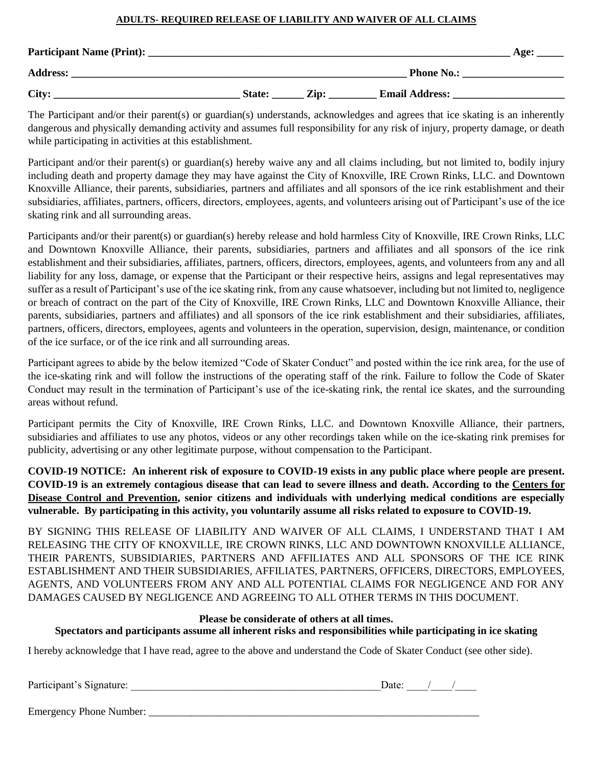## **ADULTS- REQUIRED RELEASE OF LIABILITY AND WAIVER OF ALL CLAIMS**

| <b>Participant Name (Print):</b> |        |      |                       | Age: |
|----------------------------------|--------|------|-----------------------|------|
| <b>Address:</b>                  |        |      | <b>Phone No.:</b>     |      |
| City:                            | State: | Zip: | <b>Email Address:</b> |      |

The Participant and/or their parent(s) or guardian(s) understands, acknowledges and agrees that ice skating is an inherently dangerous and physically demanding activity and assumes full responsibility for any risk of injury, property damage, or death while participating in activities at this establishment.

Participant and/or their parent(s) or guardian(s) hereby waive any and all claims including, but not limited to, bodily injury including death and property damage they may have against the City of Knoxville, IRE Crown Rinks, LLC. and Downtown Knoxville Alliance, their parents, subsidiaries, partners and affiliates and all sponsors of the ice rink establishment and their subsidiaries, affiliates, partners, officers, directors, employees, agents, and volunteers arising out of Participant's use of the ice skating rink and all surrounding areas.

Participants and/or their parent(s) or guardian(s) hereby release and hold harmless City of Knoxville, IRE Crown Rinks, LLC and Downtown Knoxville Alliance, their parents, subsidiaries, partners and affiliates and all sponsors of the ice rink establishment and their subsidiaries, affiliates, partners, officers, directors, employees, agents, and volunteers from any and all liability for any loss, damage, or expense that the Participant or their respective heirs, assigns and legal representatives may suffer as a result of Participant's use of the ice skating rink, from any cause whatsoever, including but not limited to, negligence or breach of contract on the part of the City of Knoxville, IRE Crown Rinks, LLC and Downtown Knoxville Alliance, their parents, subsidiaries, partners and affiliates) and all sponsors of the ice rink establishment and their subsidiaries, affiliates, partners, officers, directors, employees, agents and volunteers in the operation, supervision, design, maintenance, or condition of the ice surface, or of the ice rink and all surrounding areas.

Participant agrees to abide by the below itemized "Code of Skater Conduct" and posted within the ice rink area, for the use of the ice-skating rink and will follow the instructions of the operating staff of the rink. Failure to follow the Code of Skater Conduct may result in the termination of Participant's use of the ice-skating rink, the rental ice skates, and the surrounding areas without refund.

Participant permits the City of Knoxville, IRE Crown Rinks, LLC. and Downtown Knoxville Alliance, their partners, subsidiaries and affiliates to use any photos, videos or any other recordings taken while on the ice-skating rink premises for publicity, advertising or any other legitimate purpose, without compensation to the Participant.

**COVID-19 NOTICE: An inherent risk of exposure to COVID-19 exists in any public place where people are present. COVID-19 is an extremely contagious disease that can lead to severe illness and death. According to the [Centers for](https://www.cdc.gov/coronavirus/2019-nCoV/index.html)  [Disease Control and Prevention,](https://www.cdc.gov/coronavirus/2019-nCoV/index.html) senior citizens and individuals with underlying medical conditions are especially vulnerable. By participating in this activity, you voluntarily assume all risks related to exposure to COVID-19.**

BY SIGNING THIS RELEASE OF LIABILITY AND WAIVER OF ALL CLAIMS, I UNDERSTAND THAT I AM RELEASING THE CITY OF KNOXVILLE, IRE CROWN RINKS, LLC AND DOWNTOWN KNOXVILLE ALLIANCE, THEIR PARENTS, SUBSIDIARIES, PARTNERS AND AFFILIATES AND ALL SPONSORS OF THE ICE RINK ESTABLISHMENT AND THEIR SUBSIDIARIES, AFFILIATES, PARTNERS, OFFICERS, DIRECTORS, EMPLOYEES, AGENTS, AND VOLUNTEERS FROM ANY AND ALL POTENTIAL CLAIMS FOR NEGLIGENCE AND FOR ANY DAMAGES CAUSED BY NEGLIGENCE AND AGREEING TO ALL OTHER TERMS IN THIS DOCUMENT.

## **Please be considerate of others at all times.**

## **Spectators and participants assume all inherent risks and responsibilities while participating in ice skating**

I hereby acknowledge that I have read, agree to the above and understand the Code of Skater Conduct (see other side).

| Participan<br>$1.44 \times 1.$<br>Signature.<br>льянг |  |  |  |
|-------------------------------------------------------|--|--|--|
|                                                       |  |  |  |

Emergency Phone Number: \_\_\_\_\_\_\_\_\_\_\_\_\_\_\_\_\_\_\_\_\_\_\_\_\_\_\_\_\_\_\_\_\_\_\_\_\_\_\_\_\_\_\_\_\_\_\_\_\_\_\_\_\_\_\_\_\_\_\_\_\_\_